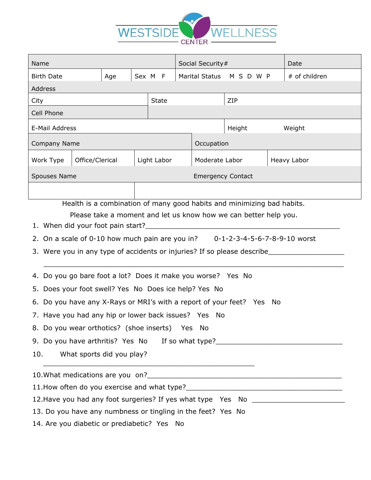

| Name                                                                                                                                                                                                                                                                                                                                                                                                                                                                                                                                                                                                                                                                                                                                                                                                                                                                                                                                                                                                                                                                |  |             |              | Social Security#         |  |                  |             | Date          |  |
|---------------------------------------------------------------------------------------------------------------------------------------------------------------------------------------------------------------------------------------------------------------------------------------------------------------------------------------------------------------------------------------------------------------------------------------------------------------------------------------------------------------------------------------------------------------------------------------------------------------------------------------------------------------------------------------------------------------------------------------------------------------------------------------------------------------------------------------------------------------------------------------------------------------------------------------------------------------------------------------------------------------------------------------------------------------------|--|-------------|--------------|--------------------------|--|------------------|-------------|---------------|--|
| <b>Birth Date</b><br>Age                                                                                                                                                                                                                                                                                                                                                                                                                                                                                                                                                                                                                                                                                                                                                                                                                                                                                                                                                                                                                                            |  | Sex M F     |              | <b>Marital Status</b>    |  | MSDWP            |             | # of children |  |
| Address                                                                                                                                                                                                                                                                                                                                                                                                                                                                                                                                                                                                                                                                                                                                                                                                                                                                                                                                                                                                                                                             |  |             |              |                          |  |                  |             |               |  |
| City                                                                                                                                                                                                                                                                                                                                                                                                                                                                                                                                                                                                                                                                                                                                                                                                                                                                                                                                                                                                                                                                |  |             | <b>State</b> |                          |  | ZIP              |             |               |  |
| Cell Phone                                                                                                                                                                                                                                                                                                                                                                                                                                                                                                                                                                                                                                                                                                                                                                                                                                                                                                                                                                                                                                                          |  |             |              |                          |  |                  |             |               |  |
| E-Mail Address                                                                                                                                                                                                                                                                                                                                                                                                                                                                                                                                                                                                                                                                                                                                                                                                                                                                                                                                                                                                                                                      |  |             |              |                          |  | Height<br>Weight |             |               |  |
| Company Name                                                                                                                                                                                                                                                                                                                                                                                                                                                                                                                                                                                                                                                                                                                                                                                                                                                                                                                                                                                                                                                        |  |             |              | Occupation               |  |                  |             |               |  |
| Office/Clerical<br>Work Type                                                                                                                                                                                                                                                                                                                                                                                                                                                                                                                                                                                                                                                                                                                                                                                                                                                                                                                                                                                                                                        |  | Light Labor |              | Moderate Labor           |  |                  | Heavy Labor |               |  |
| Spouses Name                                                                                                                                                                                                                                                                                                                                                                                                                                                                                                                                                                                                                                                                                                                                                                                                                                                                                                                                                                                                                                                        |  |             |              | <b>Emergency Contact</b> |  |                  |             |               |  |
|                                                                                                                                                                                                                                                                                                                                                                                                                                                                                                                                                                                                                                                                                                                                                                                                                                                                                                                                                                                                                                                                     |  |             |              |                          |  |                  |             |               |  |
| Health is a combination of many good habits and minimizing bad habits.<br>Please take a moment and let us know how we can better help you.<br>1. When did your foot pain start?_____<br>2. On a scale of 0-10 how much pain are you in? $0-1-2-3-4-5-6-7-8-9-10$ worst<br>3. Were you in any type of accidents or injuries? If so please describe<br>4. Do you go bare foot a lot? Does it make you worse? Yes No<br>5. Does your foot swell? Yes No Does ice help? Yes No<br>6. Do you have any X-Rays or MRI's with a report of your feet? Yes No<br>7. Have you had any hip or lower back issues? Yes No<br>8. Do you wear orthotics? (shoe inserts) Yes No<br>9. Do you have arthritis? Yes No If so what type?<br>The Sound Lynch Connect Connect Product Dividend Product Ves No If so what type?<br>10.<br>What sports did you play?<br><u> 1989 - Johann John Stone, Amerikaansk politiker (* 1989)</u><br>12. Have you had any foot surgeries? If yes what type Yes No ___________________<br>13. Do you have any numbness or tingling in the feet? Yes No |  |             |              |                          |  |                  |             |               |  |